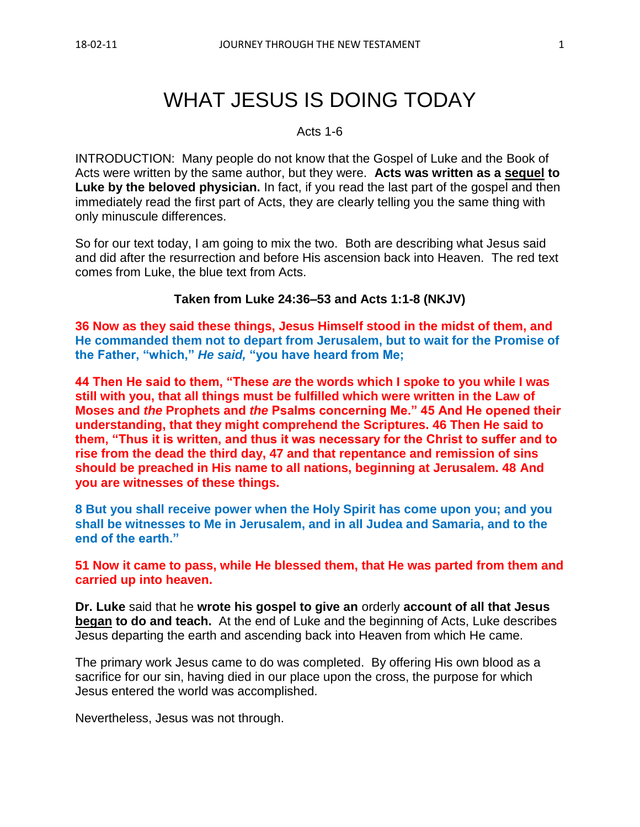# WHAT JESUS IS DOING TODAY

#### Acts 1-6

INTRODUCTION: Many people do not know that the Gospel of Luke and the Book of Acts were written by the same author, but they were. **Acts was written as a sequel to Luke by the beloved physician.** In fact, if you read the last part of the gospel and then immediately read the first part of Acts, they are clearly telling you the same thing with only minuscule differences.

So for our text today, I am going to mix the two. Both are describing what Jesus said and did after the resurrection and before His ascension back into Heaven. The red text comes from Luke, the blue text from Acts.

#### **Taken from Luke 24:36–53 and Acts 1:1-8 (NKJV)**

**36 Now as they said these things, Jesus Himself stood in the midst of them, and He commanded them not to depart from Jerusalem, but to wait for the Promise of the Father, "which,"** *He said,* **"you have heard from Me;**

**44 Then He said to them, "These** *are* **the words which I spoke to you while I was still with you, that all things must be fulfilled which were written in the Law of Moses and** *the* **Prophets and** *the* **Psalms concerning Me." 45 And He opened their understanding, that they might comprehend the Scriptures. 46 Then He said to them, "Thus it is written, and thus it was necessary for the Christ to suffer and to rise from the dead the third day, 47 and that repentance and remission of sins should be preached in His name to all nations, beginning at Jerusalem. 48 And you are witnesses of these things.**

**8 But you shall receive power when the Holy Spirit has come upon you; and you shall be witnesses to Me in Jerusalem, and in all Judea and Samaria, and to the end of the earth."**

**51 Now it came to pass, while He blessed them, that He was parted from them and carried up into heaven.** 

**Dr. Luke** said that he **wrote his gospel to give an** orderly **account of all that Jesus began to do and teach.** At the end of Luke and the beginning of Acts, Luke describes Jesus departing the earth and ascending back into Heaven from which He came.

The primary work Jesus came to do was completed. By offering His own blood as a sacrifice for our sin, having died in our place upon the cross, the purpose for which Jesus entered the world was accomplished.

Nevertheless, Jesus was not through.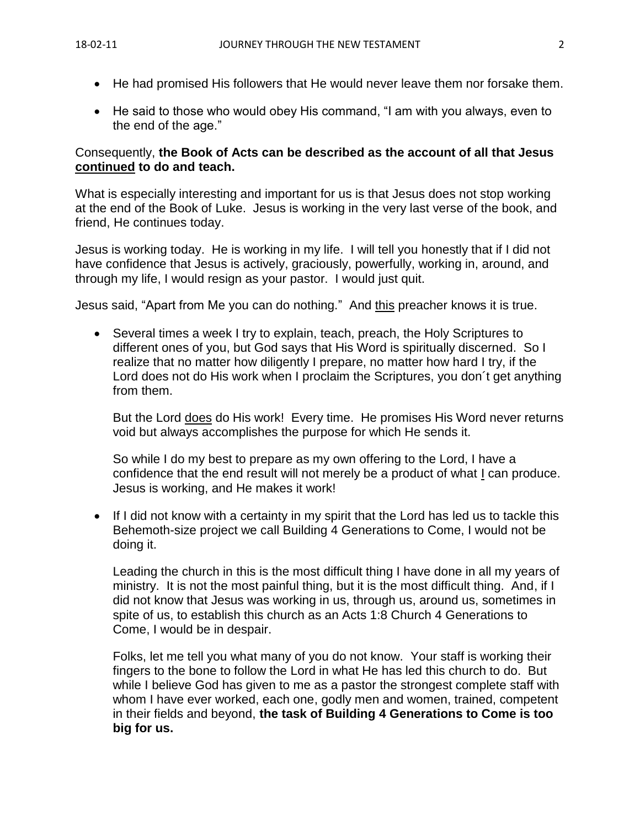- He had promised His followers that He would never leave them nor forsake them.
- He said to those who would obey His command, "I am with you always, even to the end of the age."

#### Consequently, **the Book of Acts can be described as the account of all that Jesus continued to do and teach.**

What is especially interesting and important for us is that Jesus does not stop working at the end of the Book of Luke. Jesus is working in the very last verse of the book, and friend, He continues today.

Jesus is working today. He is working in my life. I will tell you honestly that if I did not have confidence that Jesus is actively, graciously, powerfully, working in, around, and through my life, I would resign as your pastor. I would just quit.

Jesus said, "Apart from Me you can do nothing." And this preacher knows it is true.

• Several times a week I try to explain, teach, preach, the Holy Scriptures to different ones of you, but God says that His Word is spiritually discerned. So I realize that no matter how diligently I prepare, no matter how hard I try, if the Lord does not do His work when I proclaim the Scriptures, you don´t get anything from them.

But the Lord does do His work! Every time. He promises His Word never returns void but always accomplishes the purpose for which He sends it.

So while I do my best to prepare as my own offering to the Lord, I have a confidence that the end result will not merely be a product of what I can produce. Jesus is working, and He makes it work!

• If I did not know with a certainty in my spirit that the Lord has led us to tackle this Behemoth-size project we call Building 4 Generations to Come, I would not be doing it.

Leading the church in this is the most difficult thing I have done in all my years of ministry. It is not the most painful thing, but it is the most difficult thing. And, if I did not know that Jesus was working in us, through us, around us, sometimes in spite of us, to establish this church as an Acts 1:8 Church 4 Generations to Come, I would be in despair.

Folks, let me tell you what many of you do not know. Your staff is working their fingers to the bone to follow the Lord in what He has led this church to do. But while I believe God has given to me as a pastor the strongest complete staff with whom I have ever worked, each one, godly men and women, trained, competent in their fields and beyond, **the task of Building 4 Generations to Come is too big for us.**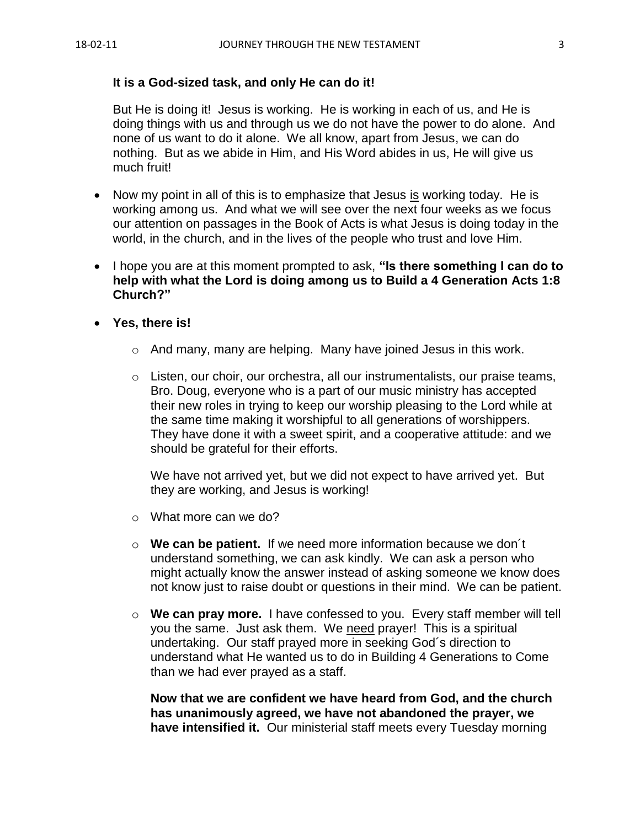#### **It is a God-sized task, and only He can do it!**

But He is doing it! Jesus is working. He is working in each of us, and He is doing things with us and through us we do not have the power to do alone. And none of us want to do it alone. We all know, apart from Jesus, we can do nothing. But as we abide in Him, and His Word abides in us, He will give us much fruit!

- Now my point in all of this is to emphasize that Jesus is working today. He is working among us. And what we will see over the next four weeks as we focus our attention on passages in the Book of Acts is what Jesus is doing today in the world, in the church, and in the lives of the people who trust and love Him.
- I hope you are at this moment prompted to ask, **"Is there something I can do to help with what the Lord is doing among us to Build a 4 Generation Acts 1:8 Church?"**
- **Yes, there is!** 
	- o And many, many are helping. Many have joined Jesus in this work.
	- o Listen, our choir, our orchestra, all our instrumentalists, our praise teams, Bro. Doug, everyone who is a part of our music ministry has accepted their new roles in trying to keep our worship pleasing to the Lord while at the same time making it worshipful to all generations of worshippers. They have done it with a sweet spirit, and a cooperative attitude: and we should be grateful for their efforts.

We have not arrived yet, but we did not expect to have arrived yet. But they are working, and Jesus is working!

- o What more can we do?
- o **We can be patient.** If we need more information because we don´t understand something, we can ask kindly. We can ask a person who might actually know the answer instead of asking someone we know does not know just to raise doubt or questions in their mind. We can be patient.
- o **We can pray more.** I have confessed to you. Every staff member will tell you the same. Just ask them. We need prayer! This is a spiritual undertaking. Our staff prayed more in seeking God´s direction to understand what He wanted us to do in Building 4 Generations to Come than we had ever prayed as a staff.

**Now that we are confident we have heard from God, and the church has unanimously agreed, we have not abandoned the prayer, we have intensified it.** Our ministerial staff meets every Tuesday morning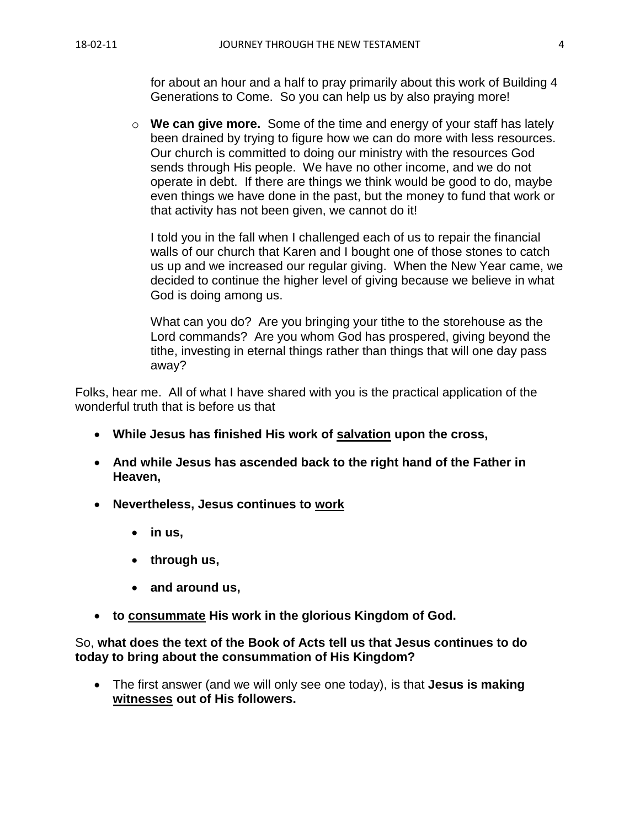for about an hour and a half to pray primarily about this work of Building 4 Generations to Come. So you can help us by also praying more!

o **We can give more.** Some of the time and energy of your staff has lately been drained by trying to figure how we can do more with less resources. Our church is committed to doing our ministry with the resources God sends through His people. We have no other income, and we do not operate in debt. If there are things we think would be good to do, maybe even things we have done in the past, but the money to fund that work or that activity has not been given, we cannot do it!

I told you in the fall when I challenged each of us to repair the financial walls of our church that Karen and I bought one of those stones to catch us up and we increased our regular giving. When the New Year came, we decided to continue the higher level of giving because we believe in what God is doing among us.

What can you do? Are you bringing your tithe to the storehouse as the Lord commands? Are you whom God has prospered, giving beyond the tithe, investing in eternal things rather than things that will one day pass away?

Folks, hear me. All of what I have shared with you is the practical application of the wonderful truth that is before us that

- **While Jesus has finished His work of salvation upon the cross,**
- **And while Jesus has ascended back to the right hand of the Father in Heaven,**
- **Nevertheless, Jesus continues to work**
	- **in us,**
	- **through us,**
	- **and around us,**
- **to consummate His work in the glorious Kingdom of God.**

#### So, **what does the text of the Book of Acts tell us that Jesus continues to do today to bring about the consummation of His Kingdom?**

• The first answer (and we will only see one today), is that **Jesus is making witnesses out of His followers.**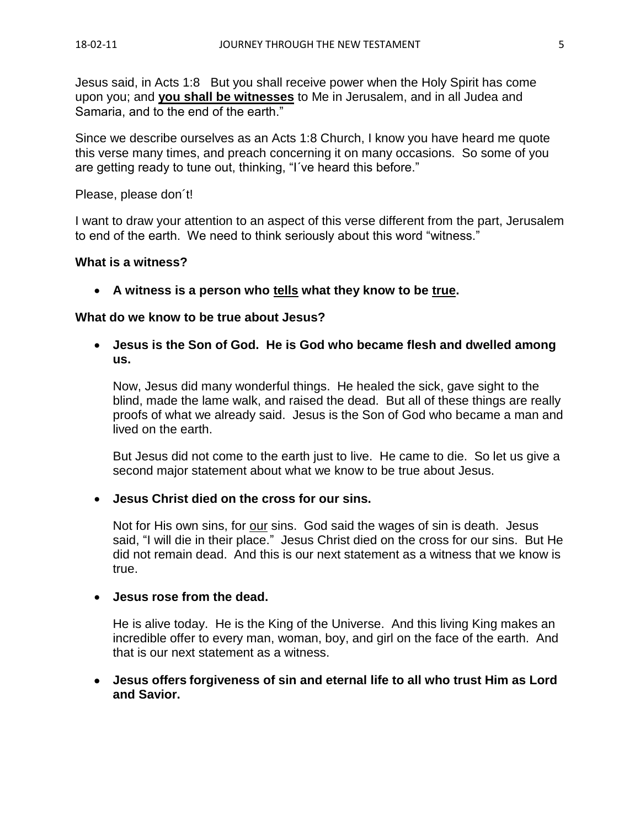Jesus said, in Acts 1:8 But you shall receive power when the Holy Spirit has come upon you; and **you shall be witnesses** to Me in Jerusalem, and in all Judea and Samaria, and to the end of the earth."

Since we describe ourselves as an Acts 1:8 Church, I know you have heard me quote this verse many times, and preach concerning it on many occasions. So some of you are getting ready to tune out, thinking, "I´ve heard this before."

Please, please don´t!

I want to draw your attention to an aspect of this verse different from the part, Jerusalem to end of the earth. We need to think seriously about this word "witness."

#### **What is a witness?**

• **A witness is a person who tells what they know to be true.**

#### **What do we know to be true about Jesus?**

• **Jesus is the Son of God. He is God who became flesh and dwelled among us.**

Now, Jesus did many wonderful things. He healed the sick, gave sight to the blind, made the lame walk, and raised the dead. But all of these things are really proofs of what we already said. Jesus is the Son of God who became a man and lived on the earth.

But Jesus did not come to the earth just to live. He came to die. So let us give a second major statement about what we know to be true about Jesus.

#### • **Jesus Christ died on the cross for our sins.**

Not for His own sins, for our sins. God said the wages of sin is death. Jesus said, "I will die in their place." Jesus Christ died on the cross for our sins. But He did not remain dead. And this is our next statement as a witness that we know is true.

#### • **Jesus rose from the dead.**

He is alive today. He is the King of the Universe. And this living King makes an incredible offer to every man, woman, boy, and girl on the face of the earth. And that is our next statement as a witness.

#### • **Jesus offers forgiveness of sin and eternal life to all who trust Him as Lord and Savior.**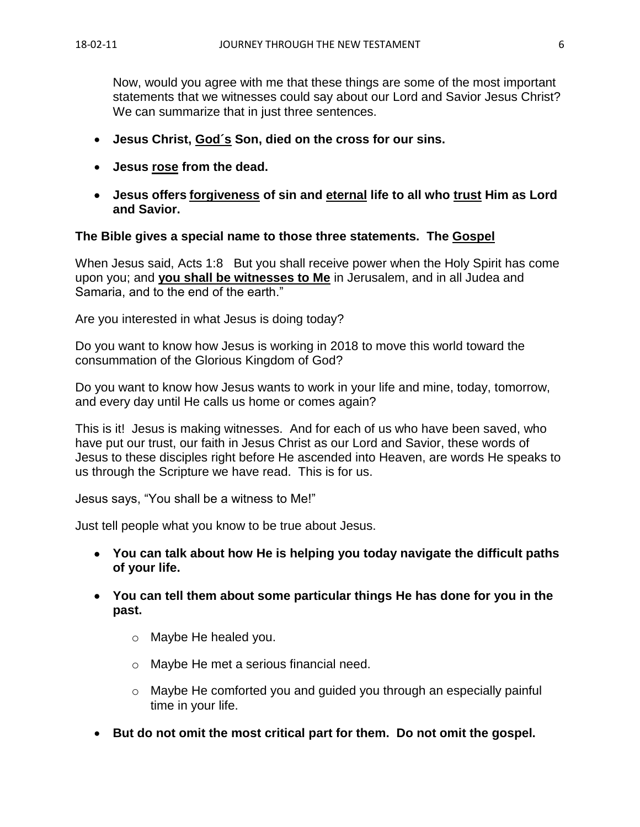Now, would you agree with me that these things are some of the most important statements that we witnesses could say about our Lord and Savior Jesus Christ? We can summarize that in just three sentences.

- **Jesus Christ, God´s Son, died on the cross for our sins.**
- **Jesus rose from the dead.**
- **Jesus offers forgiveness of sin and eternal life to all who trust Him as Lord and Savior.**

#### **The Bible gives a special name to those three statements. The Gospel**

When Jesus said, Acts 1:8 But you shall receive power when the Holy Spirit has come upon you; and **you shall be witnesses to Me** in Jerusalem, and in all Judea and Samaria, and to the end of the earth."

Are you interested in what Jesus is doing today?

Do you want to know how Jesus is working in 2018 to move this world toward the consummation of the Glorious Kingdom of God?

Do you want to know how Jesus wants to work in your life and mine, today, tomorrow, and every day until He calls us home or comes again?

This is it! Jesus is making witnesses. And for each of us who have been saved, who have put our trust, our faith in Jesus Christ as our Lord and Savior, these words of Jesus to these disciples right before He ascended into Heaven, are words He speaks to us through the Scripture we have read. This is for us.

Jesus says, "You shall be a witness to Me!"

Just tell people what you know to be true about Jesus.

- **You can talk about how He is helping you today navigate the difficult paths of your life.**
- **You can tell them about some particular things He has done for you in the past.**
	- o Maybe He healed you.
	- o Maybe He met a serious financial need.
	- o Maybe He comforted you and guided you through an especially painful time in your life.
- **But do not omit the most critical part for them. Do not omit the gospel.**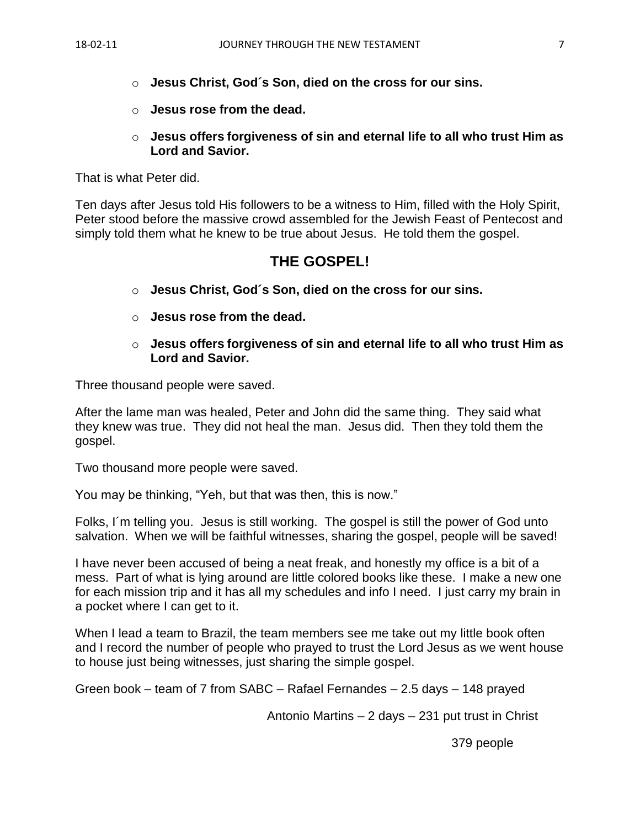- o **Jesus Christ, God´s Son, died on the cross for our sins.**
- o **Jesus rose from the dead.**
- o **Jesus offers forgiveness of sin and eternal life to all who trust Him as Lord and Savior.**

That is what Peter did.

Ten days after Jesus told His followers to be a witness to Him, filled with the Holy Spirit, Peter stood before the massive crowd assembled for the Jewish Feast of Pentecost and simply told them what he knew to be true about Jesus. He told them the gospel.

# **THE GOSPEL!**

- o **Jesus Christ, God´s Son, died on the cross for our sins.**
- o **Jesus rose from the dead.**
- o **Jesus offers forgiveness of sin and eternal life to all who trust Him as Lord and Savior.**

Three thousand people were saved.

After the lame man was healed, Peter and John did the same thing. They said what they knew was true. They did not heal the man. Jesus did. Then they told them the gospel.

Two thousand more people were saved.

You may be thinking, "Yeh, but that was then, this is now."

Folks, I´m telling you. Jesus is still working. The gospel is still the power of God unto salvation. When we will be faithful witnesses, sharing the gospel, people will be saved!

I have never been accused of being a neat freak, and honestly my office is a bit of a mess. Part of what is lying around are little colored books like these. I make a new one for each mission trip and it has all my schedules and info I need. I just carry my brain in a pocket where I can get to it.

When I lead a team to Brazil, the team members see me take out my little book often and I record the number of people who prayed to trust the Lord Jesus as we went house to house just being witnesses, just sharing the simple gospel.

Green book – team of 7 from SABC – Rafael Fernandes – 2.5 days – 148 prayed

Antonio Martins – 2 days – 231 put trust in Christ

379 people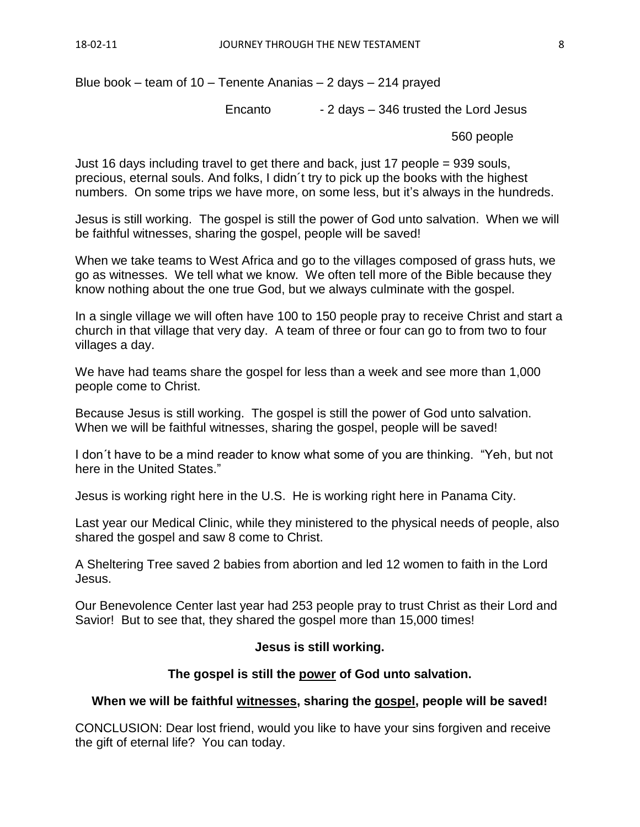Blue book – team of 10 – Tenente Ananias – 2 days – 214 prayed

Encanto - 2 days – 346 trusted the Lord Jesus

560 people

Just 16 days including travel to get there and back, just 17 people = 939 souls, precious, eternal souls. And folks, I didn´t try to pick up the books with the highest numbers. On some trips we have more, on some less, but it's always in the hundreds.

Jesus is still working. The gospel is still the power of God unto salvation. When we will be faithful witnesses, sharing the gospel, people will be saved!

When we take teams to West Africa and go to the villages composed of grass huts, we go as witnesses. We tell what we know. We often tell more of the Bible because they know nothing about the one true God, but we always culminate with the gospel.

In a single village we will often have 100 to 150 people pray to receive Christ and start a church in that village that very day. A team of three or four can go to from two to four villages a day.

We have had teams share the gospel for less than a week and see more than 1,000 people come to Christ.

Because Jesus is still working. The gospel is still the power of God unto salvation. When we will be faithful witnesses, sharing the gospel, people will be saved!

I don´t have to be a mind reader to know what some of you are thinking. "Yeh, but not here in the United States."

Jesus is working right here in the U.S. He is working right here in Panama City.

Last year our Medical Clinic, while they ministered to the physical needs of people, also shared the gospel and saw 8 come to Christ.

A Sheltering Tree saved 2 babies from abortion and led 12 women to faith in the Lord Jesus.

Our Benevolence Center last year had 253 people pray to trust Christ as their Lord and Savior! But to see that, they shared the gospel more than 15,000 times!

## **Jesus is still working.**

## **The gospel is still the power of God unto salvation.**

## **When we will be faithful witnesses, sharing the gospel, people will be saved!**

CONCLUSION: Dear lost friend, would you like to have your sins forgiven and receive the gift of eternal life? You can today.